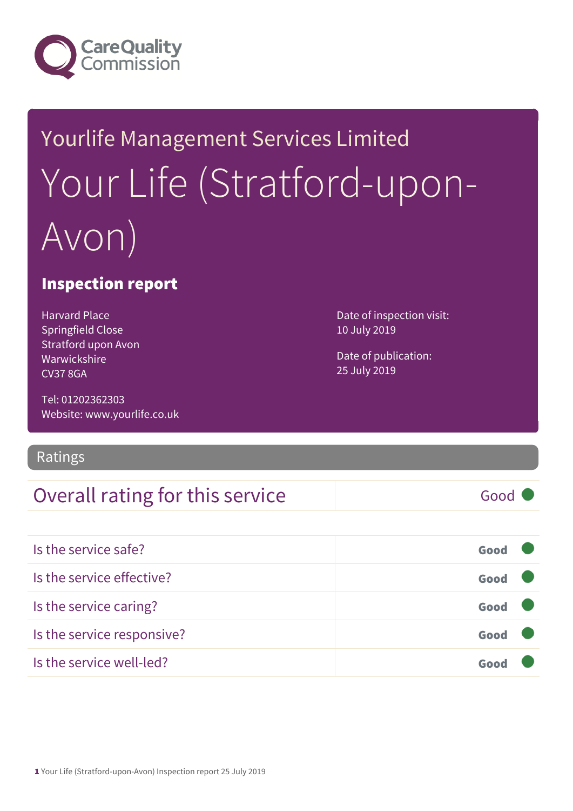

# Yourlife Management Services Limited Your Life (Stratford-upon-Avon)

#### Inspection report

Harvard Place Springfield Close Stratford upon Avon Warwickshire CV37 8GA

Tel: 01202362303 Website: www.yourlife.co.uk

#### Ratings

### Overall rating for this service and all the Good

Date of inspection visit: 10 July 2019

Date of publication: 25 July 2019

| Is the service safe?       | Good |
|----------------------------|------|
| Is the service effective?  | Good |
| Is the service caring?     | Good |
| Is the service responsive? | Good |

Is the service well-led? Good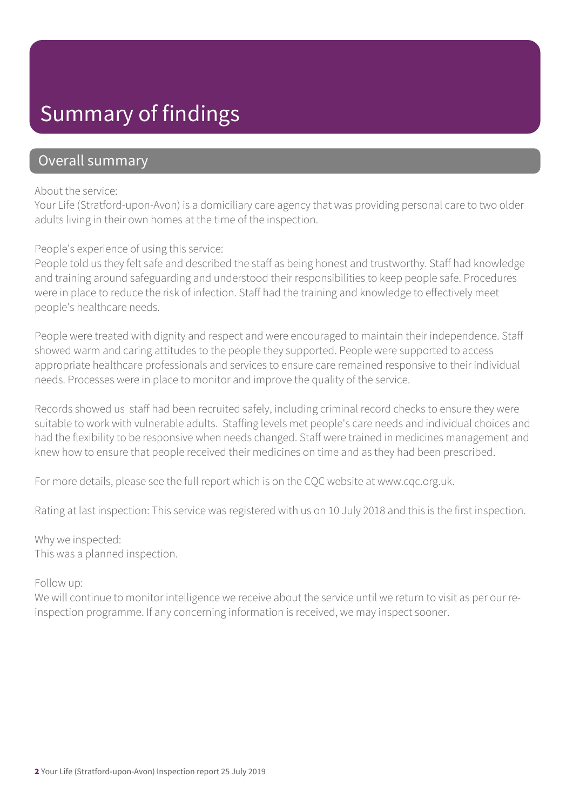### Summary of findings

### Overall summary

#### About the service:

Your Life (Stratford-upon-Avon) is a domiciliary care agency that was providing personal care to two older adults living in their own homes at the time of the inspection.

People's experience of using this service:

People told us they felt safe and described the staff as being honest and trustworthy. Staff had knowledge and training around safeguarding and understood their responsibilities to keep people safe. Procedures were in place to reduce the risk of infection. Staff had the training and knowledge to effectively meet people's healthcare needs.

People were treated with dignity and respect and were encouraged to maintain their independence. Staff showed warm and caring attitudes to the people they supported. People were supported to access appropriate healthcare professionals and services to ensure care remained responsive to their individual needs. Processes were in place to monitor and improve the quality of the service.

Records showed us staff had been recruited safely, including criminal record checks to ensure they were suitable to work with vulnerable adults. Staffing levels met people's care needs and individual choices and had the flexibility to be responsive when needs changed. Staff were trained in medicines management and knew how to ensure that people received their medicines on time and as they had been prescribed.

For more details, please see the full report which is on the CQC website at www.cqc.org.uk.

Rating at last inspection: This service was registered with us on 10 July 2018 and this is the first inspection.

#### Why we inspected: This was a planned inspection.

#### Follow up:

We will continue to monitor intelligence we receive about the service until we return to visit as per our reinspection programme. If any concerning information is received, we may inspect sooner.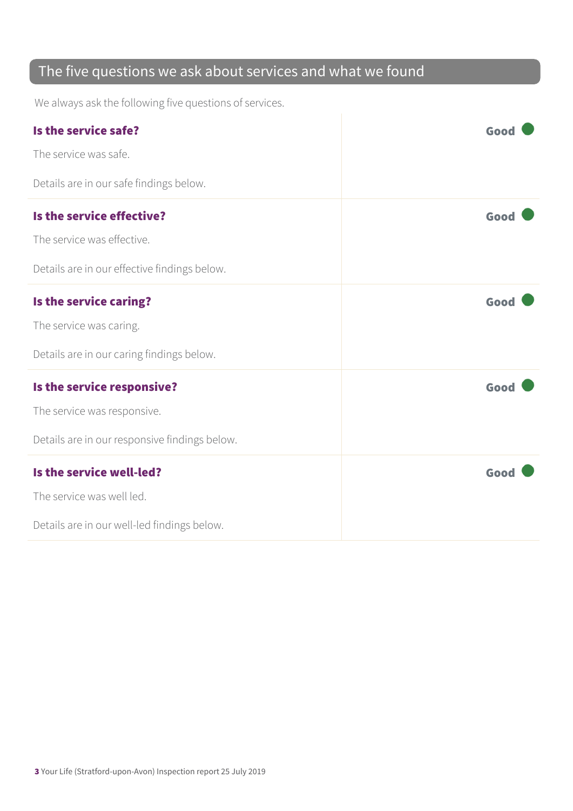### The five questions we ask about services and what we found

We always ask the following five questions of services.

| Is the service safe?                          | Good |
|-----------------------------------------------|------|
| The service was safe.                         |      |
| Details are in our safe findings below.       |      |
| Is the service effective?                     | Good |
| The service was effective.                    |      |
| Details are in our effective findings below.  |      |
| Is the service caring?                        | Good |
| The service was caring.                       |      |
| Details are in our caring findings below.     |      |
| Is the service responsive?                    | Good |
| The service was responsive.                   |      |
| Details are in our responsive findings below. |      |
| Is the service well-led?                      | Good |
| The service was well led.                     |      |
| Details are in our well-led findings below.   |      |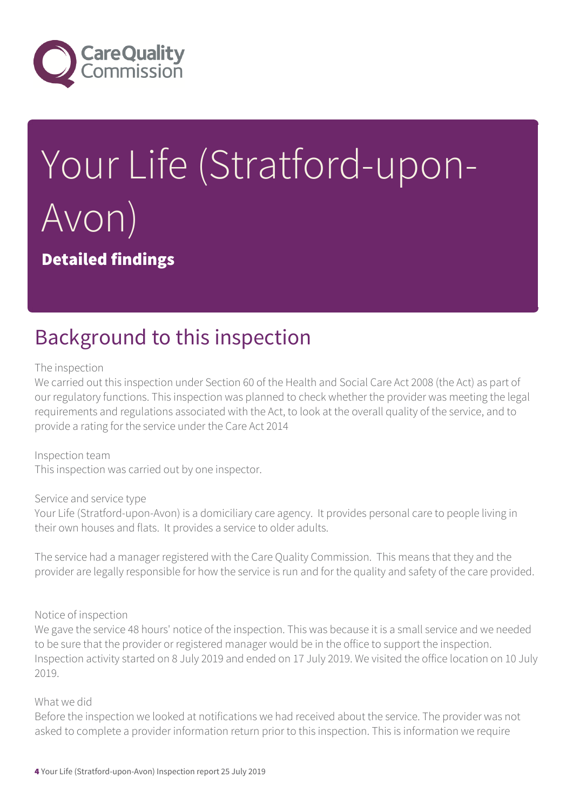

# Your Life (Stratford-upon-Avon) Detailed findings

### Background to this inspection

#### The inspection

We carried out this inspection under Section 60 of the Health and Social Care Act 2008 (the Act) as part of our regulatory functions. This inspection was planned to check whether the provider was meeting the legal requirements and regulations associated with the Act, to look at the overall quality of the service, and to provide a rating for the service under the Care Act 2014

Inspection team This inspection was carried out by one inspector.

Service and service type Your Life (Stratford-upon-Avon) is a domiciliary care agency. It provides personal care to people living in their own houses and flats. It provides a service to older adults.

The service had a manager registered with the Care Quality Commission. This means that they and the provider are legally responsible for how the service is run and for the quality and safety of the care provided.

#### Notice of inspection

We gave the service 48 hours' notice of the inspection. This was because it is a small service and we needed to be sure that the provider or registered manager would be in the office to support the inspection. Inspection activity started on 8 July 2019 and ended on 17 July 2019. We visited the office location on 10 July 2019.

#### What we did

Before the inspection we looked at notifications we had received about the service. The provider was not asked to complete a provider information return prior to this inspection. This is information we require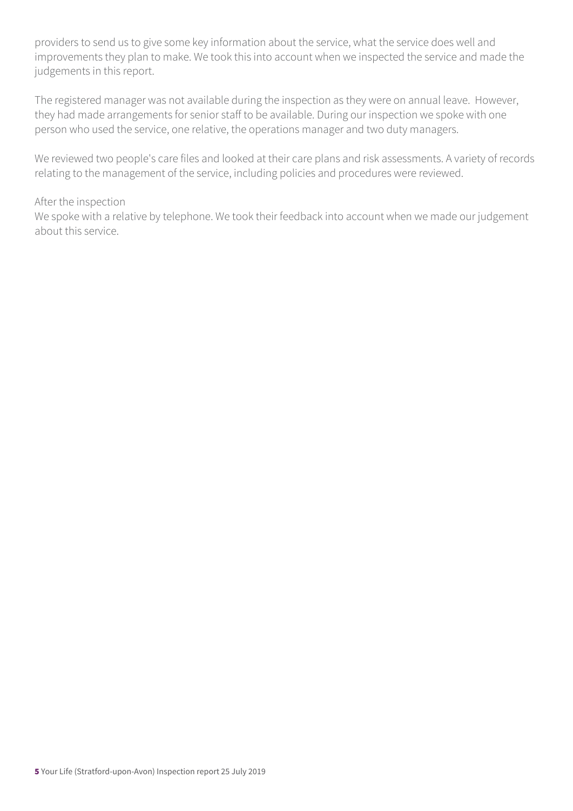providers to send us to give some key information about the service, what the service does well and improvements they plan to make. We took this into account when we inspected the service and made the judgements in this report.

The registered manager was not available during the inspection as they were on annual leave. However, they had made arrangements for senior staff to be available. During our inspection we spoke with one person who used the service, one relative, the operations manager and two duty managers.

We reviewed two people's care files and looked at their care plans and risk assessments. A variety of records relating to the management of the service, including policies and procedures were reviewed.

#### After the inspection

We spoke with a relative by telephone. We took their feedback into account when we made our judgement about this service.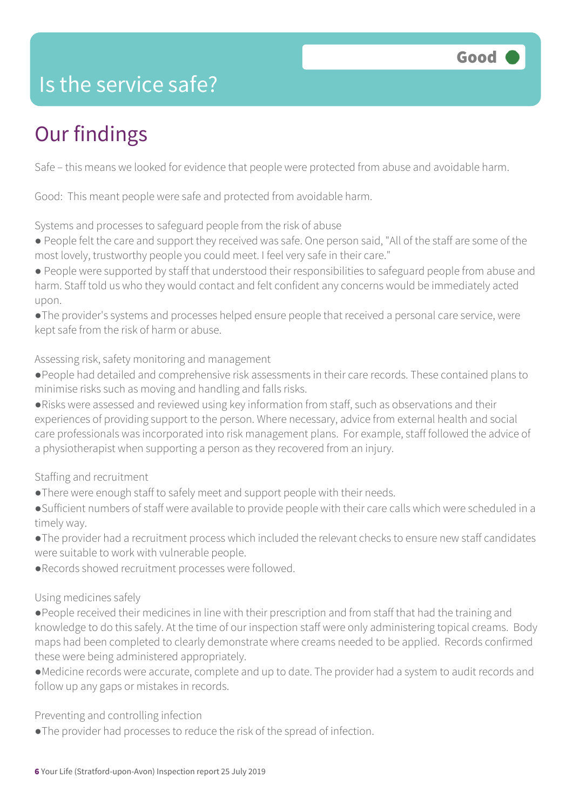

### Is the service safe?

### Our findings

Safe – this means we looked for evidence that people were protected from abuse and avoidable harm.

Good: This meant people were safe and protected from avoidable harm.

Systems and processes to safeguard people from the risk of abuse

- People felt the care and support they received was safe. One person said, "All of the staff are some of the most lovely, trustworthy people you could meet. I feel very safe in their care."
- People were supported by staff that understood their responsibilities to safeguard people from abuse and harm. Staff told us who they would contact and felt confident any concerns would be immediately acted upon.
- ●The provider's systems and processes helped ensure people that received a personal care service, were kept safe from the risk of harm or abuse.

Assessing risk, safety monitoring and management

- ●People had detailed and comprehensive risk assessments in their care records. These contained plans to minimise risks such as moving and handling and falls risks.
- ●Risks were assessed and reviewed using key information from staff, such as observations and their experiences of providing support to the person. Where necessary, advice from external health and social care professionals was incorporated into risk management plans. For example, staff followed the advice of a physiotherapist when supporting a person as they recovered from an injury.
- Staffing and recruitment
- ●There were enough staff to safely meet and support people with their needs.
- ●Sufficient numbers of staff were available to provide people with their care calls which were scheduled in a timely way.
- ●The provider had a recruitment process which included the relevant checks to ensure new staff candidates were suitable to work with vulnerable people.
- ●Records showed recruitment processes were followed.

#### Using medicines safely

- ●People received their medicines in line with their prescription and from staff that had the training and knowledge to do this safely. At the time of our inspection staff were only administering topical creams. Body maps had been completed to clearly demonstrate where creams needed to be applied. Records confirmed these were being administered appropriately.
- ●Medicine records were accurate, complete and up to date. The provider had a system to audit records and follow up any gaps or mistakes in records.

Preventing and controlling infection

●The provider had processes to reduce the risk of the spread of infection.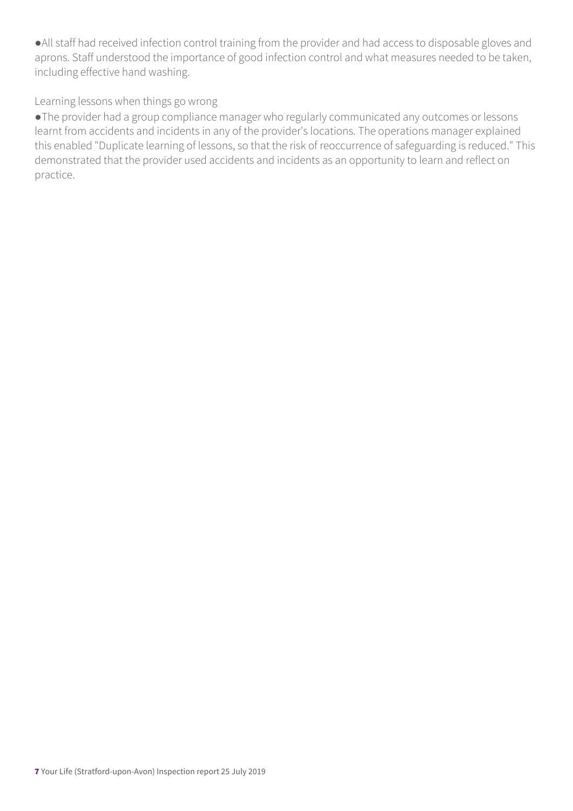●All staff had received infection control training from the provider and had access to disposable gloves and aprons. Staff understood the importance of good infection control and what measures needed to be taken, including effective hand washing.

#### Learning lessons when things go wrong

●The provider had a group compliance manager who regularly communicated any outcomes or lessons learnt from accidents and incidents in any of the provider's locations. The operations manager explained this enabled "Duplicate learning of lessons, so that the risk of reoccurrence of safeguarding is reduced." This demonstrated that the provider used accidents and incidents as an opportunity to learn and reflect on practice.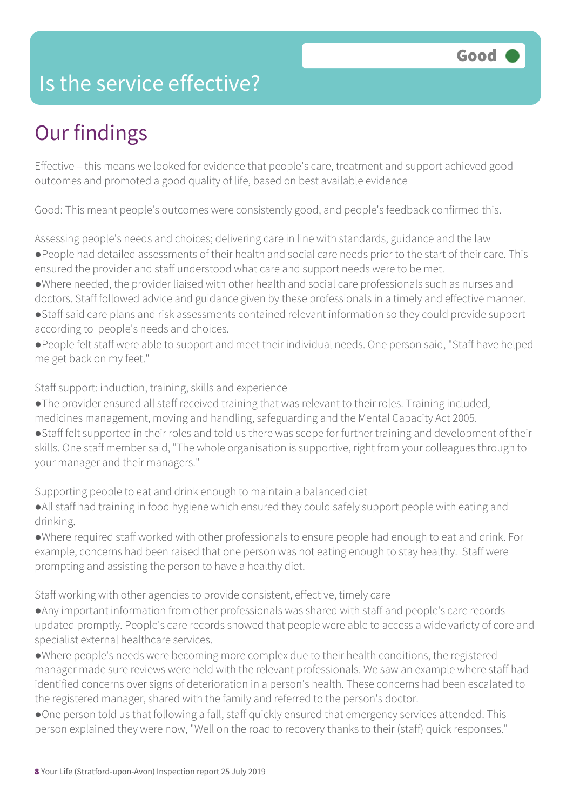### Is the service effective?

# Our findings

Effective – this means we looked for evidence that people's care, treatment and support achieved good outcomes and promoted a good quality of life, based on best available evidence

Good: This meant people's outcomes were consistently good, and people's feedback confirmed this.

Assessing people's needs and choices; delivering care in line with standards, guidance and the law ●People had detailed assessments of their health and social care needs prior to the start of their care. This ensured the provider and staff understood what care and support needs were to be met.

- ●Where needed, the provider liaised with other health and social care professionals such as nurses and doctors. Staff followed advice and guidance given by these professionals in a timely and effective manner.
- ●Staff said care plans and risk assessments contained relevant information so they could provide support according to people's needs and choices.
- ●People felt staff were able to support and meet their individual needs. One person said, "Staff have helped me get back on my feet."

#### Staff support: induction, training, skills and experience

- ●The provider ensured all staff received training that was relevant to their roles. Training included, medicines management, moving and handling, safeguarding and the Mental Capacity Act 2005.
- ●Staff felt supported in their roles and told us there was scope for further training and development of their skills. One staff member said, "The whole organisation is supportive, right from your colleagues through to your manager and their managers."

Supporting people to eat and drink enough to maintain a balanced diet

- ●All staff had training in food hygiene which ensured they could safely support people with eating and drinking.
- ●Where required staff worked with other professionals to ensure people had enough to eat and drink. For example, concerns had been raised that one person was not eating enough to stay healthy. Staff were prompting and assisting the person to have a healthy diet.

#### Staff working with other agencies to provide consistent, effective, timely care

- ●Any important information from other professionals was shared with staff and people's care records updated promptly. People's care records showed that people were able to access a wide variety of core and specialist external healthcare services.
- ●Where people's needs were becoming more complex due to their health conditions, the registered manager made sure reviews were held with the relevant professionals. We saw an example where staff had identified concerns over signs of deterioration in a person's health. These concerns had been escalated to the registered manager, shared with the family and referred to the person's doctor.
- ●One person told us that following a fall, staff quickly ensured that emergency services attended. This person explained they were now, "Well on the road to recovery thanks to their (staff) quick responses."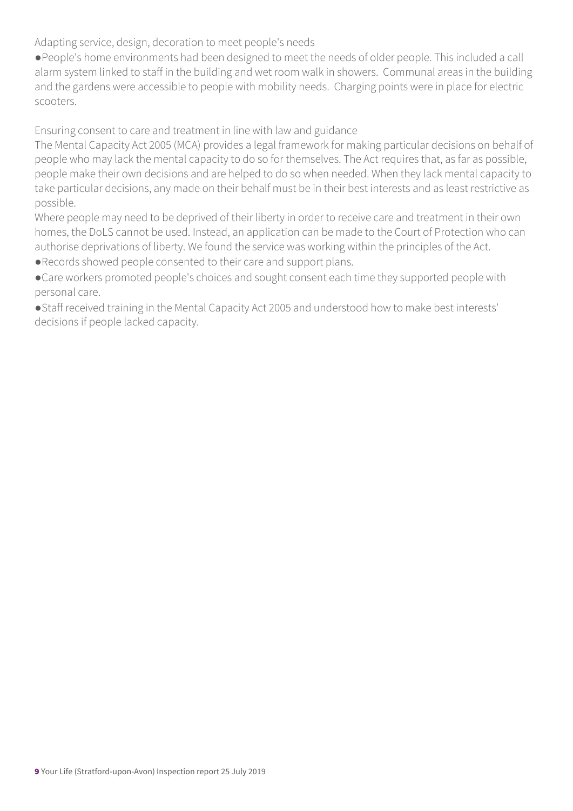Adapting service, design, decoration to meet people's needs

●People's home environments had been designed to meet the needs of older people. This included a call alarm system linked to staff in the building and wet room walk in showers. Communal areas in the building and the gardens were accessible to people with mobility needs. Charging points were in place for electric scooters.

Ensuring consent to care and treatment in line with law and guidance

The Mental Capacity Act 2005 (MCA) provides a legal framework for making particular decisions on behalf of people who may lack the mental capacity to do so for themselves. The Act requires that, as far as possible, people make their own decisions and are helped to do so when needed. When they lack mental capacity to take particular decisions, any made on their behalf must be in their best interests and as least restrictive as possible.

Where people may need to be deprived of their liberty in order to receive care and treatment in their own homes, the DoLS cannot be used. Instead, an application can be made to the Court of Protection who can authorise deprivations of liberty. We found the service was working within the principles of the Act.

●Records showed people consented to their care and support plans.

●Care workers promoted people's choices and sought consent each time they supported people with personal care.

●Staff received training in the Mental Capacity Act 2005 and understood how to make best interests' decisions if people lacked capacity.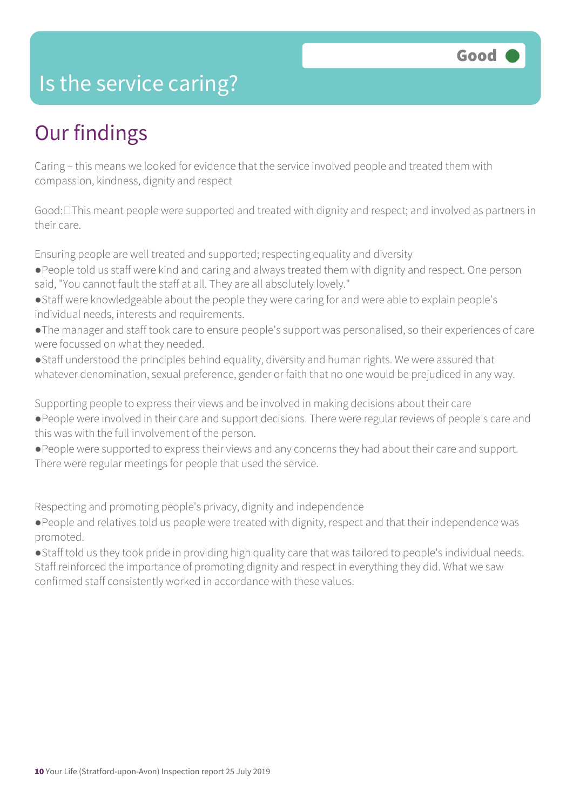### Is the service caring?

## Our findings

Caring – this means we looked for evidence that the service involved people and treated them with compassion, kindness, dignity and respect

Good: $\Box$ This meant people were supported and treated with dignity and respect; and involved as partners in their care.

Ensuring people are well treated and supported; respecting equality and diversity

- ●People told us staff were kind and caring and always treated them with dignity and respect. One person said, "You cannot fault the staff at all. They are all absolutely lovely."
- ●Staff were knowledgeable about the people they were caring for and were able to explain people's individual needs, interests and requirements.
- ●The manager and staff took care to ensure people's support was personalised, so their experiences of care were focussed on what they needed.
- ●Staff understood the principles behind equality, diversity and human rights. We were assured that whatever denomination, sexual preference, gender or faith that no one would be prejudiced in any way.

Supporting people to express their views and be involved in making decisions about their care

- ●People were involved in their care and support decisions. There were regular reviews of people's care and this was with the full involvement of the person.
- ●People were supported to express their views and any concerns they had about their care and support. There were regular meetings for people that used the service.

Respecting and promoting people's privacy, dignity and independence

●People and relatives told us people were treated with dignity, respect and that their independence was promoted.

●Staff told us they took pride in providing high quality care that was tailored to people's individual needs. Staff reinforced the importance of promoting dignity and respect in everything they did. What we saw confirmed staff consistently worked in accordance with these values.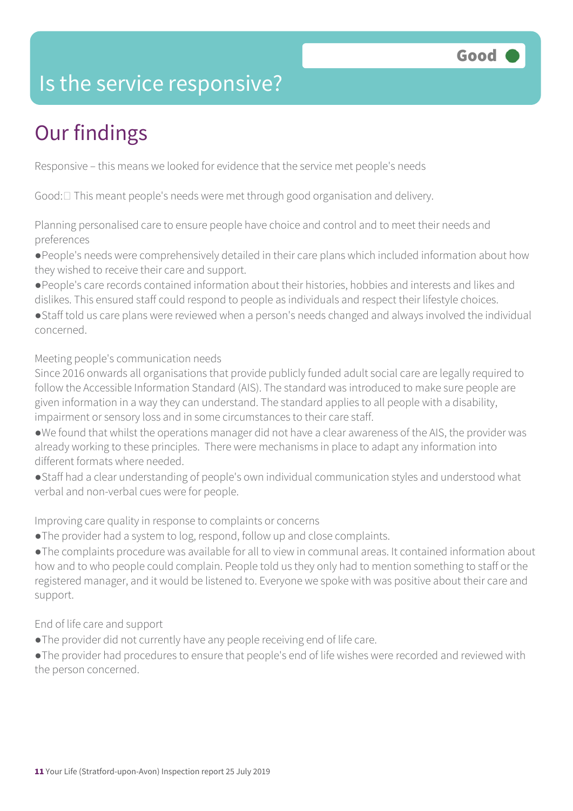

### Is the service responsive?

# Our findings

Responsive – this means we looked for evidence that the service met people's needs

Good:  $\Box$  This meant people's needs were met through good organisation and delivery.

Planning personalised care to ensure people have choice and control and to meet their needs and preferences

●People's needs were comprehensively detailed in their care plans which included information about how they wished to receive their care and support.

●People's care records contained information about their histories, hobbies and interests and likes and dislikes. This ensured staff could respond to people as individuals and respect their lifestyle choices.

●Staff told us care plans were reviewed when a person's needs changed and always involved the individual concerned.

Meeting people's communication needs

Since 2016 onwards all organisations that provide publicly funded adult social care are legally required to follow the Accessible Information Standard (AIS). The standard was introduced to make sure people are given information in a way they can understand. The standard applies to all people with a disability, impairment or sensory loss and in some circumstances to their care staff.

●We found that whilst the operations manager did not have a clear awareness of the AIS, the provider was already working to these principles. There were mechanisms in place to adapt any information into different formats where needed.

●Staff had a clear understanding of people's own individual communication styles and understood what verbal and non-verbal cues were for people.

Improving care quality in response to complaints or concerns

●The provider had a system to log, respond, follow up and close complaints.

●The complaints procedure was available for all to view in communal areas. It contained information about how and to who people could complain. People told us they only had to mention something to staff or the registered manager, and it would be listened to. Everyone we spoke with was positive about their care and support.

End of life care and support

- ●The provider did not currently have any people receiving end of life care.
- ●The provider had procedures to ensure that people's end of life wishes were recorded and reviewed with the person concerned.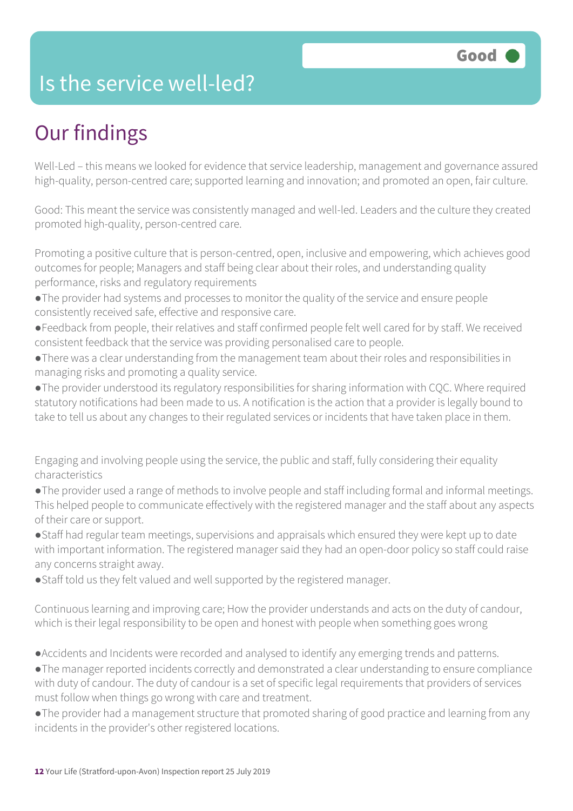### Is the service well-led?

# Our findings

Well-Led – this means we looked for evidence that service leadership, management and governance assured high-quality, person-centred care; supported learning and innovation; and promoted an open, fair culture.

Good: This meant the service was consistently managed and well-led. Leaders and the culture they created promoted high-quality, person-centred care.

Promoting a positive culture that is person-centred, open, inclusive and empowering, which achieves good outcomes for people; Managers and staff being clear about their roles, and understanding quality performance, risks and regulatory requirements

- ●The provider had systems and processes to monitor the quality of the service and ensure people consistently received safe, effective and responsive care.
- ●Feedback from people, their relatives and staff confirmed people felt well cared for by staff. We received consistent feedback that the service was providing personalised care to people.
- ●There was a clear understanding from the management team about their roles and responsibilities in managing risks and promoting a quality service.

●The provider understood its regulatory responsibilities for sharing information with CQC. Where required statutory notifications had been made to us. A notification is the action that a provider is legally bound to take to tell us about any changes to their regulated services or incidents that have taken place in them.

Engaging and involving people using the service, the public and staff, fully considering their equality characteristics

●The provider used a range of methods to involve people and staff including formal and informal meetings. This helped people to communicate effectively with the registered manager and the staff about any aspects of their care or support.

●Staff had regular team meetings, supervisions and appraisals which ensured they were kept up to date with important information. The registered manager said they had an open-door policy so staff could raise any concerns straight away.

●Staff told us they felt valued and well supported by the registered manager.

Continuous learning and improving care; How the provider understands and acts on the duty of candour, which is their legal responsibility to be open and honest with people when something goes wrong

●Accidents and Incidents were recorded and analysed to identify any emerging trends and patterns.

●The manager reported incidents correctly and demonstrated a clear understanding to ensure compliance with duty of candour. The duty of candour is a set of specific legal requirements that providers of services must follow when things go wrong with care and treatment.

●The provider had a management structure that promoted sharing of good practice and learning from any incidents in the provider's other registered locations.